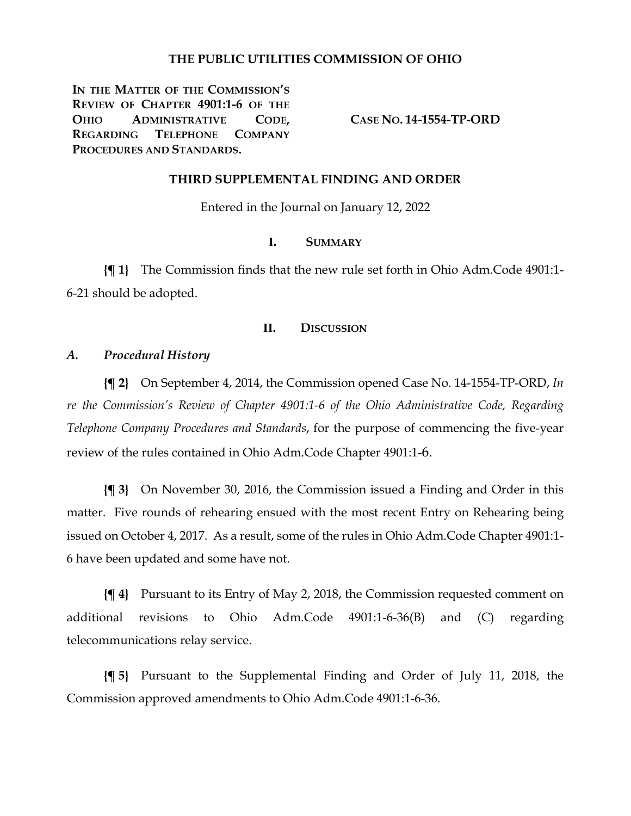### **THE PUBLIC UTILITIES COMMISSION OF OHIO**

**IN THE MATTER OF THE COMMISSION'S REVIEW OF CHAPTER 4901:1-6 OF THE OHIO ADMINISTRATIVE CODE, REGARDING TELEPHONE COMPANY PROCEDURES AND STANDARDS.**

**CASE NO. 14-1554-TP-ORD**

#### **THIRD SUPPLEMENTAL FINDING AND ORDER**

Entered in the Journal on January 12, 2022

### **I. SUMMARY**

**{¶ 1}** The Commission finds that the new rule set forth in Ohio Adm.Code 4901:1- 6-21 should be adopted.

### **II. DISCUSSION**

### *A. Procedural History*

**{¶ 2}** On September 4, 2014, the Commission opened Case No. 14-1554-TP-ORD, *In re the Commission's Review of Chapter 4901:1-6 of the Ohio Administrative Code, Regarding Telephone Company Procedures and Standards*, for the purpose of commencing the five-year review of the rules contained in Ohio Adm.Code Chapter 4901:1-6.

**{¶ 3}** On November 30, 2016, the Commission issued a Finding and Order in this matter. Five rounds of rehearing ensued with the most recent Entry on Rehearing being issued on October 4, 2017. As a result, some of the rules in Ohio Adm.Code Chapter 4901:1- 6 have been updated and some have not.

**{¶ 4}** Pursuant to its Entry of May 2, 2018, the Commission requested comment on additional revisions to Ohio Adm.Code 4901:1-6-36(B) and (C) regarding telecommunications relay service.

**{¶ 5}** Pursuant to the Supplemental Finding and Order of July 11, 2018, the Commission approved amendments to Ohio Adm.Code 4901:1-6-36.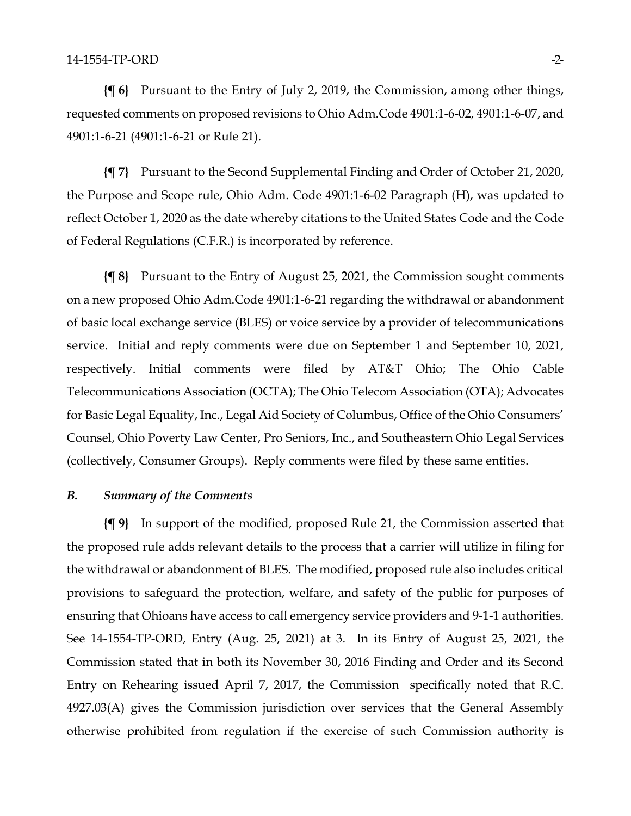**{¶ 6}** Pursuant to the Entry of July 2, 2019, the Commission, among other things, requested comments on proposed revisions to Ohio Adm.Code 4901:1-6-02, 4901:1-6-07, and 4901:1-6-21 (4901:1-6-21 or Rule 21).

**{¶ 7}** Pursuant to the Second Supplemental Finding and Order of October 21, 2020, the Purpose and Scope rule, Ohio Adm. Code 4901:1-6-02 Paragraph (H), was updated to reflect October 1, 2020 as the date whereby citations to the United States Code and the Code of Federal Regulations (C.F.R.) is incorporated by reference.

**{¶ 8}** Pursuant to the Entry of August 25, 2021, the Commission sought comments on a new proposed Ohio Adm.Code 4901:1-6-21 regarding the withdrawal or abandonment of basic local exchange service (BLES) or voice service by a provider of telecommunications service. Initial and reply comments were due on September 1 and September 10, 2021, respectively. Initial comments were filed by AT&T Ohio; The Ohio Cable Telecommunications Association (OCTA); The Ohio Telecom Association (OTA); Advocates for Basic Legal Equality, Inc., Legal Aid Society of Columbus, Office of the Ohio Consumers' Counsel, Ohio Poverty Law Center, Pro Seniors, Inc., and Southeastern Ohio Legal Services (collectively, Consumer Groups). Reply comments were filed by these same entities.

### *B. Summary of the Comments*

**{¶ 9}** In support of the modified, proposed Rule 21, the Commission asserted that the proposed rule adds relevant details to the process that a carrier will utilize in filing for the withdrawal or abandonment of BLES. The modified, proposed rule also includes critical provisions to safeguard the protection, welfare, and safety of the public for purposes of ensuring that Ohioans have access to call emergency service providers and 9-1-1 authorities. See 14-1554-TP-ORD, Entry (Aug. 25, 2021) at 3. In its Entry of August 25, 2021, the Commission stated that in both its November 30, 2016 Finding and Order and its Second Entry on Rehearing issued April 7, 2017, the Commission specifically noted that R.C. 4927.03(A) gives the Commission jurisdiction over services that the General Assembly otherwise prohibited from regulation if the exercise of such Commission authority is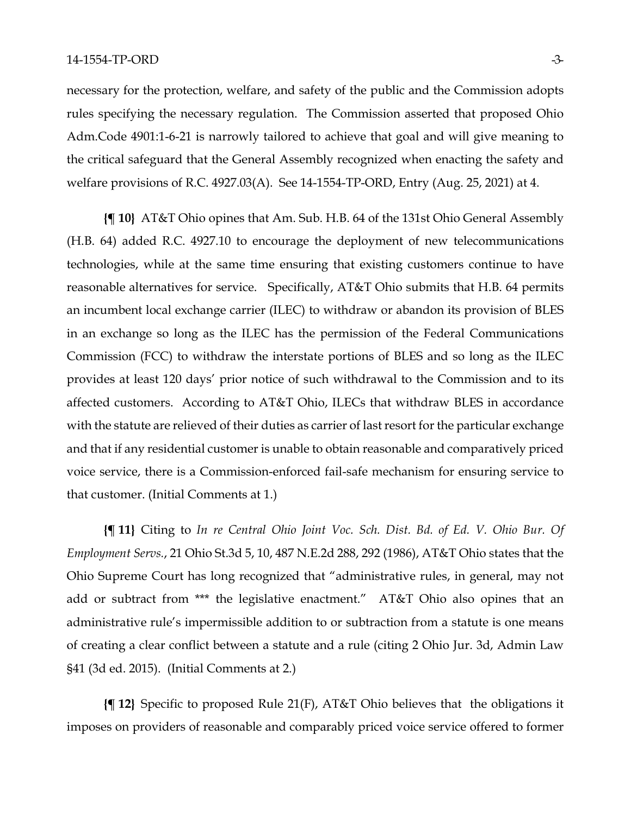necessary for the protection, welfare, and safety of the public and the Commission adopts rules specifying the necessary regulation. The Commission asserted that proposed Ohio Adm.Code 4901:1-6-21 is narrowly tailored to achieve that goal and will give meaning to the critical safeguard that the General Assembly recognized when enacting the safety and welfare provisions of R.C. 4927.03(A). See 14-1554-TP-ORD, Entry (Aug. 25, 2021) at 4.

**{¶ 10}** AT&T Ohio opines that Am. Sub. H.B. 64 of the 131st Ohio General Assembly (H.B. 64) added R.C. 4927.10 to encourage the deployment of new telecommunications technologies, while at the same time ensuring that existing customers continue to have reasonable alternatives for service. Specifically, AT&T Ohio submits that H.B. 64 permits an incumbent local exchange carrier (ILEC) to withdraw or abandon its provision of BLES in an exchange so long as the ILEC has the permission of the Federal Communications Commission (FCC) to withdraw the interstate portions of BLES and so long as the ILEC provides at least 120 days' prior notice of such withdrawal to the Commission and to its affected customers. According to AT&T Ohio, ILECs that withdraw BLES in accordance with the statute are relieved of their duties as carrier of last resort for the particular exchange and that if any residential customer is unable to obtain reasonable and comparatively priced voice service, there is a Commission-enforced fail-safe mechanism for ensuring service to that customer. (Initial Comments at 1.)

**{¶ 11}** Citing to *In re Central Ohio Joint Voc. Sch. Dist. Bd. of Ed. V. Ohio Bur. Of Employment Servs.*, 21 Ohio St.3d 5, 10, 487 N.E.2d 288, 292 (1986), AT&T Ohio states that the Ohio Supreme Court has long recognized that "administrative rules, in general, may not add or subtract from \*\*\* the legislative enactment." AT&T Ohio also opines that an administrative rule's impermissible addition to or subtraction from a statute is one means of creating a clear conflict between a statute and a rule (citing 2 Ohio Jur. 3d, Admin Law §41 (3d ed. 2015). (Initial Comments at 2.)

**{¶ 12}** Specific to proposed Rule 21(F), AT&T Ohio believes that the obligations it imposes on providers of reasonable and comparably priced voice service offered to former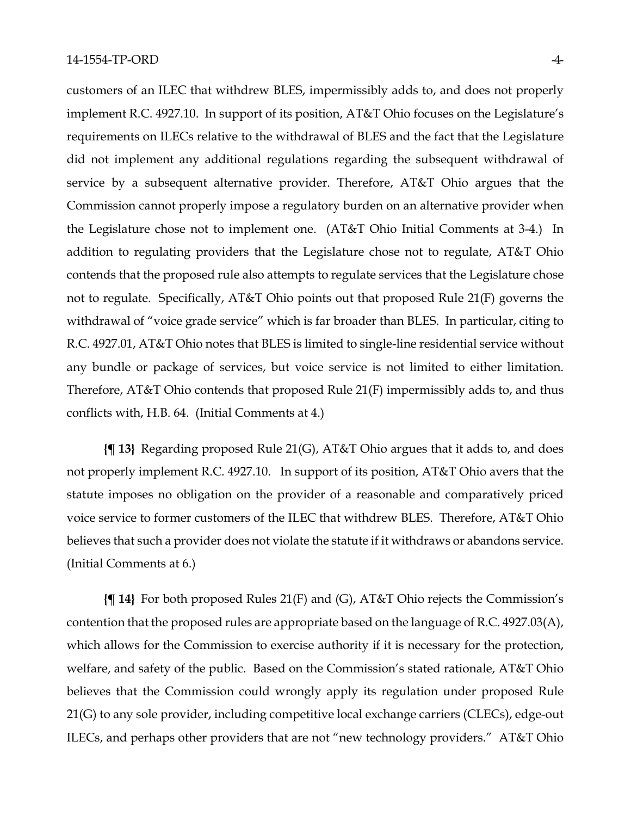customers of an ILEC that withdrew BLES, impermissibly adds to, and does not properly implement R.C. 4927.10. In support of its position, AT&T Ohio focuses on the Legislature's requirements on ILECs relative to the withdrawal of BLES and the fact that the Legislature did not implement any additional regulations regarding the subsequent withdrawal of service by a subsequent alternative provider. Therefore, AT&T Ohio argues that the Commission cannot properly impose a regulatory burden on an alternative provider when the Legislature chose not to implement one. (AT&T Ohio Initial Comments at 3-4.) In addition to regulating providers that the Legislature chose not to regulate, AT&T Ohio contends that the proposed rule also attempts to regulate services that the Legislature chose not to regulate. Specifically, AT&T Ohio points out that proposed Rule 21(F) governs the withdrawal of "voice grade service" which is far broader than BLES. In particular, citing to R.C. 4927.01, AT&T Ohio notes that BLES is limited to single-line residential service without any bundle or package of services, but voice service is not limited to either limitation. Therefore, AT&T Ohio contends that proposed Rule 21(F) impermissibly adds to, and thus conflicts with, H.B. 64. (Initial Comments at 4.)

**{¶ 13}** Regarding proposed Rule 21(G), AT&T Ohio argues that it adds to, and does not properly implement R.C. 4927.10. In support of its position, AT&T Ohio avers that the statute imposes no obligation on the provider of a reasonable and comparatively priced voice service to former customers of the ILEC that withdrew BLES. Therefore, AT&T Ohio believes that such a provider does not violate the statute if it withdraws or abandons service. (Initial Comments at 6.)

**{¶ 14}** For both proposed Rules 21(F) and (G), AT&T Ohio rejects the Commission's contention that the proposed rules are appropriate based on the language of R.C. 4927.03(A), which allows for the Commission to exercise authority if it is necessary for the protection, welfare, and safety of the public. Based on the Commission's stated rationale, AT&T Ohio believes that the Commission could wrongly apply its regulation under proposed Rule 21(G) to any sole provider, including competitive local exchange carriers (CLECs), edge-out ILECs, and perhaps other providers that are not "new technology providers." AT&T Ohio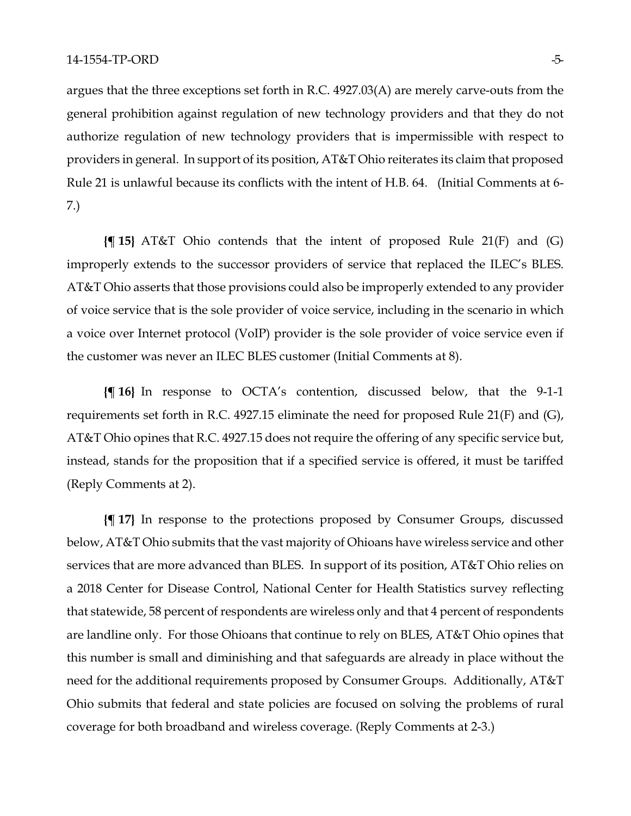argues that the three exceptions set forth in R.C. 4927.03(A) are merely carve-outs from the general prohibition against regulation of new technology providers and that they do not authorize regulation of new technology providers that is impermissible with respect to providers in general. In support of its position, AT&T Ohio reiterates its claim that proposed Rule 21 is unlawful because its conflicts with the intent of H.B. 64. (Initial Comments at 6- 7.)

**{¶ 15}** AT&T Ohio contends that the intent of proposed Rule 21(F) and (G) improperly extends to the successor providers of service that replaced the ILEC's BLES. AT&T Ohio asserts that those provisions could also be improperly extended to any provider of voice service that is the sole provider of voice service, including in the scenario in which a voice over Internet protocol (VoIP) provider is the sole provider of voice service even if the customer was never an ILEC BLES customer (Initial Comments at 8).

**{¶ 16}** In response to OCTA's contention, discussed below, that the 9-1-1 requirements set forth in R.C. 4927.15 eliminate the need for proposed Rule 21(F) and (G), AT&T Ohio opines that R.C. 4927.15 does not require the offering of any specific service but, instead, stands for the proposition that if a specified service is offered, it must be tariffed (Reply Comments at 2).

**{¶ 17}** In response to the protections proposed by Consumer Groups, discussed below, AT&T Ohio submits that the vast majority of Ohioans have wireless service and other services that are more advanced than BLES. In support of its position, AT&T Ohio relies on a 2018 Center for Disease Control, National Center for Health Statistics survey reflecting that statewide, 58 percent of respondents are wireless only and that 4 percent of respondents are landline only. For those Ohioans that continue to rely on BLES, AT&T Ohio opines that this number is small and diminishing and that safeguards are already in place without the need for the additional requirements proposed by Consumer Groups. Additionally, AT&T Ohio submits that federal and state policies are focused on solving the problems of rural coverage for both broadband and wireless coverage. (Reply Comments at 2-3.)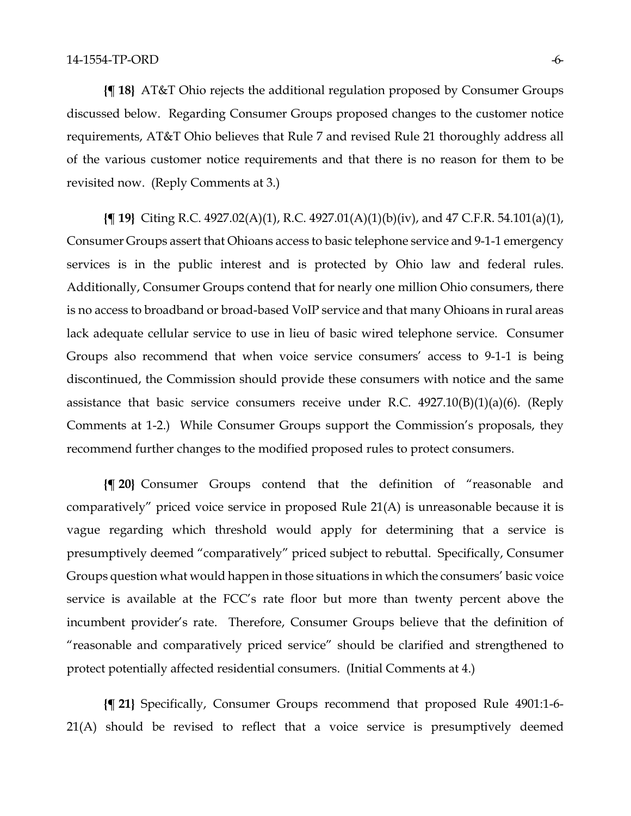**{¶ 18}** AT&T Ohio rejects the additional regulation proposed by Consumer Groups discussed below. Regarding Consumer Groups proposed changes to the customer notice requirements, AT&T Ohio believes that Rule 7 and revised Rule 21 thoroughly address all of the various customer notice requirements and that there is no reason for them to be revisited now. (Reply Comments at 3.)

**{¶ 19}** Citing R.C. 4927.02(A)(1), R.C. 4927.01(A)(1)(b)(iv), and 47 C.F.R. 54.101(a)(1), Consumer Groups assert that Ohioans access to basic telephone service and 9-1-1 emergency services is in the public interest and is protected by Ohio law and federal rules. Additionally, Consumer Groups contend that for nearly one million Ohio consumers, there is no access to broadband or broad-based VoIP service and that many Ohioans in rural areas lack adequate cellular service to use in lieu of basic wired telephone service. Consumer Groups also recommend that when voice service consumers' access to 9-1-1 is being discontinued, the Commission should provide these consumers with notice and the same assistance that basic service consumers receive under R.C.  $4927.10(B)(1)(a)(6)$ . (Reply Comments at 1-2.) While Consumer Groups support the Commission's proposals, they recommend further changes to the modified proposed rules to protect consumers.

**{¶ 20}** Consumer Groups contend that the definition of "reasonable and comparatively" priced voice service in proposed Rule 21(A) is unreasonable because it is vague regarding which threshold would apply for determining that a service is presumptively deemed "comparatively" priced subject to rebuttal. Specifically, Consumer Groups question what would happen in those situations in which the consumers' basic voice service is available at the FCC's rate floor but more than twenty percent above the incumbent provider's rate. Therefore, Consumer Groups believe that the definition of "reasonable and comparatively priced service" should be clarified and strengthened to protect potentially affected residential consumers. (Initial Comments at 4.)

**{¶ 21}** Specifically, Consumer Groups recommend that proposed Rule 4901:1-6- 21(A) should be revised to reflect that a voice service is presumptively deemed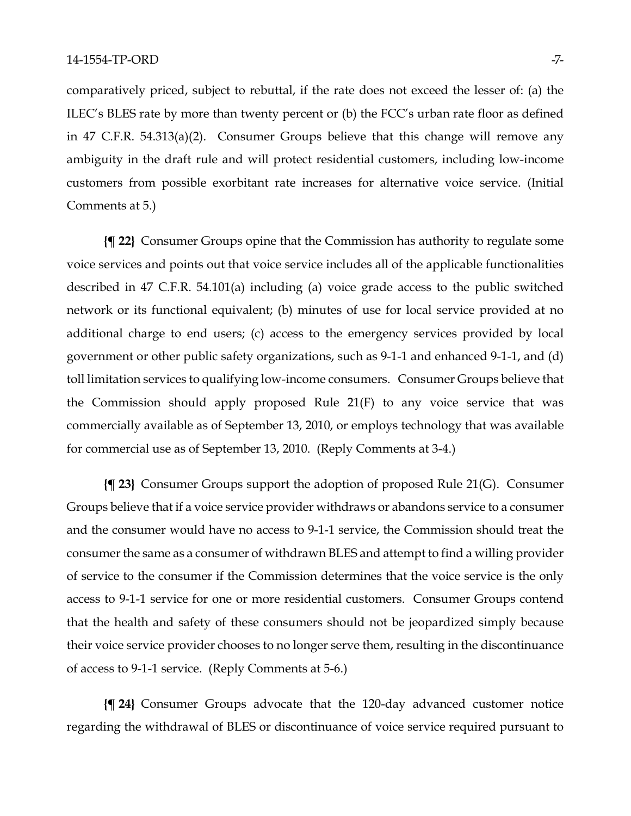comparatively priced, subject to rebuttal, if the rate does not exceed the lesser of: (a) the ILEC's BLES rate by more than twenty percent or (b) the FCC's urban rate floor as defined in 47 C.F.R. 54.313(a)(2). Consumer Groups believe that this change will remove any ambiguity in the draft rule and will protect residential customers, including low-income customers from possible exorbitant rate increases for alternative voice service. (Initial Comments at 5.)

**{¶ 22}** Consumer Groups opine that the Commission has authority to regulate some voice services and points out that voice service includes all of the applicable functionalities described in 47 C.F.R. 54.101(a) including (a) voice grade access to the public switched network or its functional equivalent; (b) minutes of use for local service provided at no additional charge to end users; (c) access to the emergency services provided by local government or other public safety organizations, such as 9-1-1 and enhanced 9-1-1, and (d) toll limitation services to qualifying low-income consumers. Consumer Groups believe that the Commission should apply proposed Rule 21(F) to any voice service that was commercially available as of September 13, 2010, or employs technology that was available for commercial use as of September 13, 2010. (Reply Comments at 3-4.)

**{¶ 23}** Consumer Groups support the adoption of proposed Rule 21(G). Consumer Groups believe that if a voice service provider withdraws or abandons service to a consumer and the consumer would have no access to 9-1-1 service, the Commission should treat the consumer the same as a consumer of withdrawn BLES and attempt to find a willing provider of service to the consumer if the Commission determines that the voice service is the only access to 9-1-1 service for one or more residential customers. Consumer Groups contend that the health and safety of these consumers should not be jeopardized simply because their voice service provider chooses to no longer serve them, resulting in the discontinuance of access to 9-1-1 service. (Reply Comments at 5-6.)

**{¶ 24}** Consumer Groups advocate that the 120-day advanced customer notice regarding the withdrawal of BLES or discontinuance of voice service required pursuant to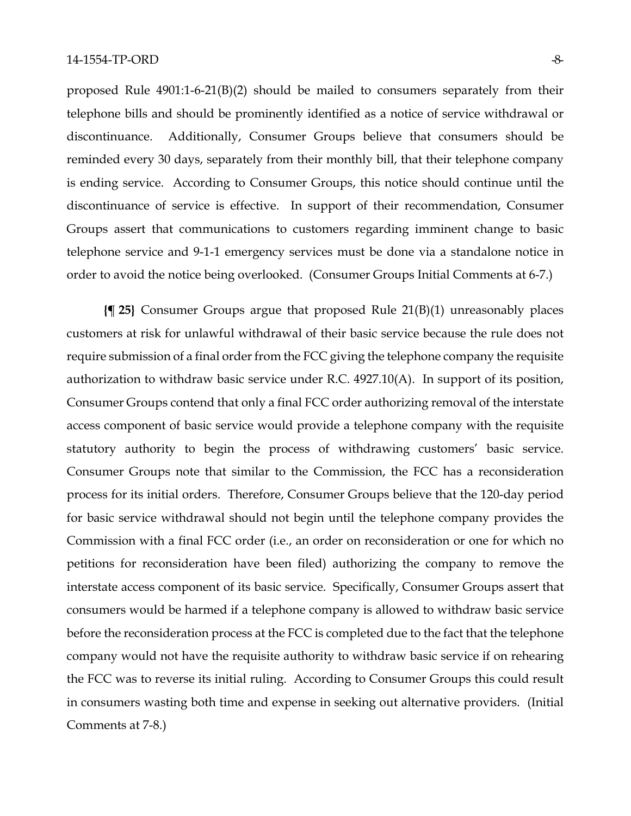proposed Rule 4901:1-6-21(B)(2) should be mailed to consumers separately from their telephone bills and should be prominently identified as a notice of service withdrawal or discontinuance. Additionally, Consumer Groups believe that consumers should be reminded every 30 days, separately from their monthly bill, that their telephone company is ending service. According to Consumer Groups, this notice should continue until the discontinuance of service is effective. In support of their recommendation, Consumer Groups assert that communications to customers regarding imminent change to basic telephone service and 9-1-1 emergency services must be done via a standalone notice in order to avoid the notice being overlooked. (Consumer Groups Initial Comments at 6-7.)

**{¶ 25}** Consumer Groups argue that proposed Rule 21(B)(1) unreasonably places customers at risk for unlawful withdrawal of their basic service because the rule does not require submission of a final order from the FCC giving the telephone company the requisite authorization to withdraw basic service under R.C. 4927.10(A). In support of its position, Consumer Groups contend that only a final FCC order authorizing removal of the interstate access component of basic service would provide a telephone company with the requisite statutory authority to begin the process of withdrawing customers' basic service. Consumer Groups note that similar to the Commission, the FCC has a reconsideration process for its initial orders. Therefore, Consumer Groups believe that the 120-day period for basic service withdrawal should not begin until the telephone company provides the Commission with a final FCC order (i.e., an order on reconsideration or one for which no petitions for reconsideration have been filed) authorizing the company to remove the interstate access component of its basic service. Specifically, Consumer Groups assert that consumers would be harmed if a telephone company is allowed to withdraw basic service before the reconsideration process at the FCC is completed due to the fact that the telephone company would not have the requisite authority to withdraw basic service if on rehearing the FCC was to reverse its initial ruling. According to Consumer Groups this could result in consumers wasting both time and expense in seeking out alternative providers. (Initial Comments at 7-8.)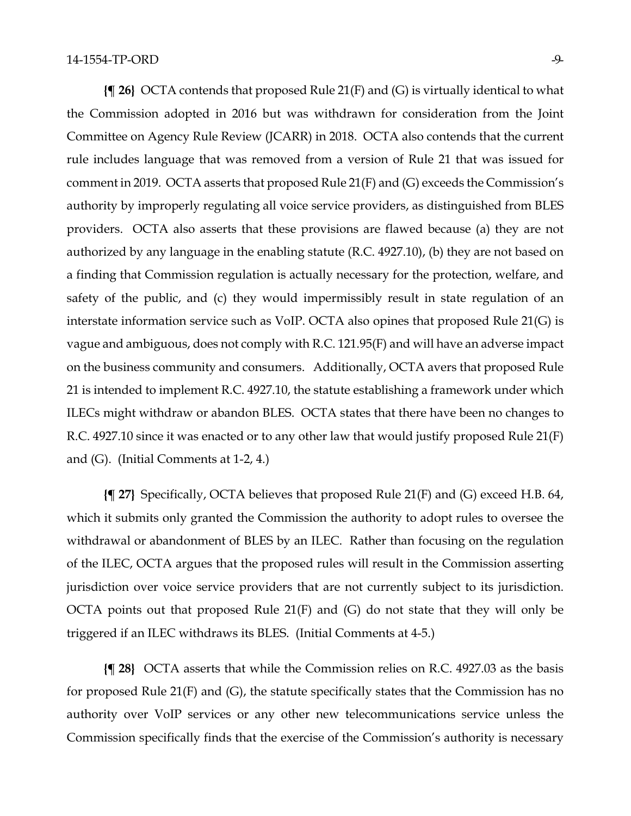**{¶ 26}** OCTA contends that proposed Rule 21(F) and (G) is virtually identical to what the Commission adopted in 2016 but was withdrawn for consideration from the Joint Committee on Agency Rule Review (JCARR) in 2018. OCTA also contends that the current rule includes language that was removed from a version of Rule 21 that was issued for comment in 2019. OCTA asserts that proposed Rule 21(F) and (G) exceeds the Commission's authority by improperly regulating all voice service providers, as distinguished from BLES providers. OCTA also asserts that these provisions are flawed because (a) they are not authorized by any language in the enabling statute (R.C. 4927.10), (b) they are not based on a finding that Commission regulation is actually necessary for the protection, welfare, and safety of the public, and (c) they would impermissibly result in state regulation of an interstate information service such as VoIP. OCTA also opines that proposed Rule 21(G) is vague and ambiguous, does not comply with R.C. 121.95(F) and will have an adverse impact on the business community and consumers. Additionally, OCTA avers that proposed Rule 21 is intended to implement R.C. 4927.10, the statute establishing a framework under which ILECs might withdraw or abandon BLES. OCTA states that there have been no changes to R.C. 4927.10 since it was enacted or to any other law that would justify proposed Rule 21(F) and (G). (Initial Comments at 1-2, 4.)

**{¶ 27}** Specifically, OCTA believes that proposed Rule 21(F) and (G) exceed H.B. 64, which it submits only granted the Commission the authority to adopt rules to oversee the withdrawal or abandonment of BLES by an ILEC. Rather than focusing on the regulation of the ILEC, OCTA argues that the proposed rules will result in the Commission asserting jurisdiction over voice service providers that are not currently subject to its jurisdiction. OCTA points out that proposed Rule 21(F) and (G) do not state that they will only be triggered if an ILEC withdraws its BLES. (Initial Comments at 4-5.)

**{¶ 28}** OCTA asserts that while the Commission relies on R.C. 4927.03 as the basis for proposed Rule 21(F) and (G), the statute specifically states that the Commission has no authority over VoIP services or any other new telecommunications service unless the Commission specifically finds that the exercise of the Commission's authority is necessary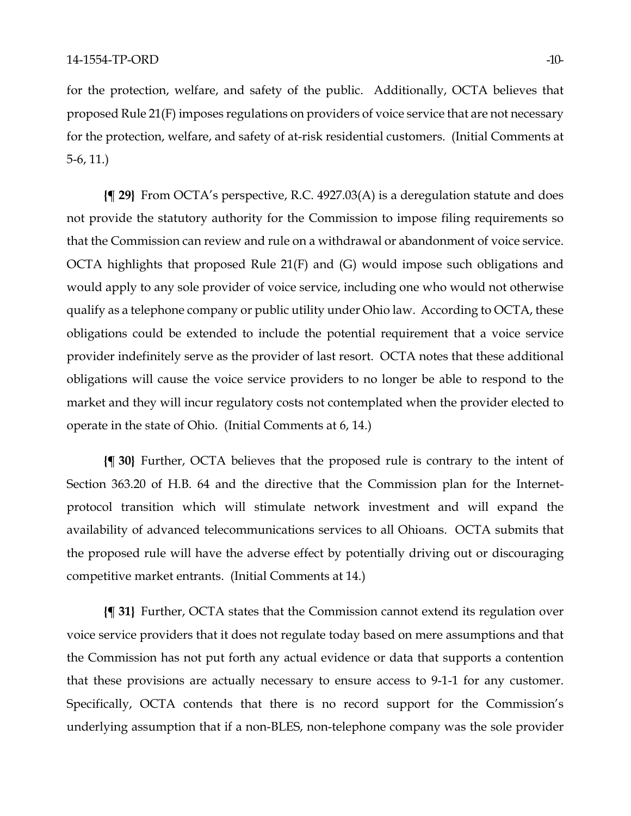for the protection, welfare, and safety of the public. Additionally, OCTA believes that proposed Rule 21(F) imposes regulations on providers of voice service that are not necessary for the protection, welfare, and safety of at-risk residential customers. (Initial Comments at 5-6, 11.)

**{¶ 29}** From OCTA's perspective, R.C. 4927.03(A) is a deregulation statute and does not provide the statutory authority for the Commission to impose filing requirements so that the Commission can review and rule on a withdrawal or abandonment of voice service. OCTA highlights that proposed Rule 21(F) and (G) would impose such obligations and would apply to any sole provider of voice service, including one who would not otherwise qualify as a telephone company or public utility under Ohio law. According to OCTA, these obligations could be extended to include the potential requirement that a voice service provider indefinitely serve as the provider of last resort. OCTA notes that these additional obligations will cause the voice service providers to no longer be able to respond to the market and they will incur regulatory costs not contemplated when the provider elected to operate in the state of Ohio. (Initial Comments at 6, 14.)

**{¶ 30}** Further, OCTA believes that the proposed rule is contrary to the intent of Section 363.20 of H.B. 64 and the directive that the Commission plan for the Internetprotocol transition which will stimulate network investment and will expand the availability of advanced telecommunications services to all Ohioans. OCTA submits that the proposed rule will have the adverse effect by potentially driving out or discouraging competitive market entrants. (Initial Comments at 14.)

**{¶ 31}** Further, OCTA states that the Commission cannot extend its regulation over voice service providers that it does not regulate today based on mere assumptions and that the Commission has not put forth any actual evidence or data that supports a contention that these provisions are actually necessary to ensure access to 9-1-1 for any customer. Specifically, OCTA contends that there is no record support for the Commission's underlying assumption that if a non-BLES, non-telephone company was the sole provider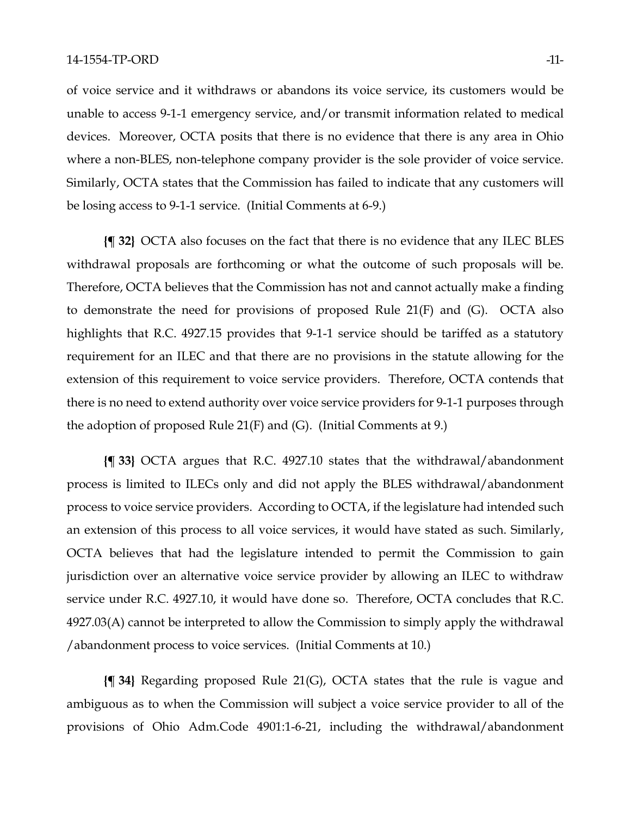of voice service and it withdraws or abandons its voice service, its customers would be unable to access 9-1-1 emergency service, and/or transmit information related to medical devices. Moreover, OCTA posits that there is no evidence that there is any area in Ohio where a non-BLES, non-telephone company provider is the sole provider of voice service. Similarly, OCTA states that the Commission has failed to indicate that any customers will be losing access to 9-1-1 service. (Initial Comments at 6-9.)

**{¶ 32}** OCTA also focuses on the fact that there is no evidence that any ILEC BLES withdrawal proposals are forthcoming or what the outcome of such proposals will be. Therefore, OCTA believes that the Commission has not and cannot actually make a finding to demonstrate the need for provisions of proposed Rule 21(F) and (G). OCTA also highlights that R.C. 4927.15 provides that 9-1-1 service should be tariffed as a statutory requirement for an ILEC and that there are no provisions in the statute allowing for the extension of this requirement to voice service providers. Therefore, OCTA contends that there is no need to extend authority over voice service providers for 9-1-1 purposes through the adoption of proposed Rule 21(F) and (G). (Initial Comments at 9.)

**{¶ 33}** OCTA argues that R.C. 4927.10 states that the withdrawal/abandonment process is limited to ILECs only and did not apply the BLES withdrawal/abandonment process to voice service providers. According to OCTA, if the legislature had intended such an extension of this process to all voice services, it would have stated as such. Similarly, OCTA believes that had the legislature intended to permit the Commission to gain jurisdiction over an alternative voice service provider by allowing an ILEC to withdraw service under R.C. 4927.10, it would have done so. Therefore, OCTA concludes that R.C. 4927.03(A) cannot be interpreted to allow the Commission to simply apply the withdrawal /abandonment process to voice services. (Initial Comments at 10.)

**{¶ 34}** Regarding proposed Rule 21(G), OCTA states that the rule is vague and ambiguous as to when the Commission will subject a voice service provider to all of the provisions of Ohio Adm.Code 4901:1-6-21, including the withdrawal/abandonment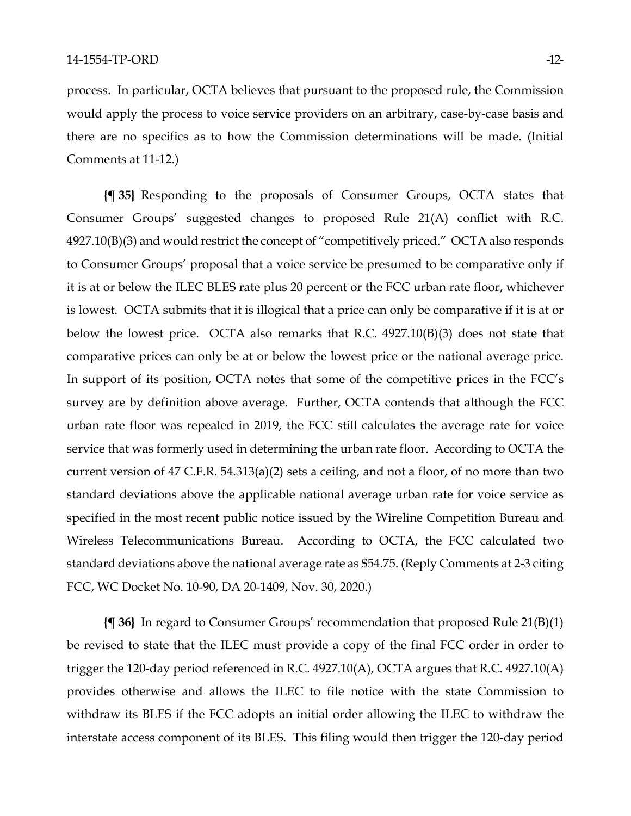process. In particular, OCTA believes that pursuant to the proposed rule, the Commission would apply the process to voice service providers on an arbitrary, case-by-case basis and there are no specifics as to how the Commission determinations will be made. (Initial Comments at 11-12.)

**{¶ 35}** Responding to the proposals of Consumer Groups, OCTA states that Consumer Groups' suggested changes to proposed Rule 21(A) conflict with R.C. 4927.10(B)(3) and would restrict the concept of "competitively priced." OCTA also responds to Consumer Groups' proposal that a voice service be presumed to be comparative only if it is at or below the ILEC BLES rate plus 20 percent or the FCC urban rate floor, whichever is lowest. OCTA submits that it is illogical that a price can only be comparative if it is at or below the lowest price. OCTA also remarks that R.C. 4927.10(B)(3) does not state that comparative prices can only be at or below the lowest price or the national average price. In support of its position, OCTA notes that some of the competitive prices in the FCC's survey are by definition above average. Further, OCTA contends that although the FCC urban rate floor was repealed in 2019, the FCC still calculates the average rate for voice service that was formerly used in determining the urban rate floor. According to OCTA the current version of 47 C.F.R. 54.313(a)(2) sets a ceiling, and not a floor, of no more than two standard deviations above the applicable national average urban rate for voice service as specified in the most recent public notice issued by the Wireline Competition Bureau and Wireless Telecommunications Bureau. According to OCTA, the FCC calculated two standard deviations above the national average rate as \$54.75. (Reply Comments at 2-3 citing FCC, WC Docket No. 10-90, DA 20-1409, Nov. 30, 2020.)

**{¶ 36}** In regard to Consumer Groups' recommendation that proposed Rule 21(B)(1) be revised to state that the ILEC must provide a copy of the final FCC order in order to trigger the 120-day period referenced in R.C. 4927.10(A), OCTA argues that R.C. 4927.10(A) provides otherwise and allows the ILEC to file notice with the state Commission to withdraw its BLES if the FCC adopts an initial order allowing the ILEC to withdraw the interstate access component of its BLES. This filing would then trigger the 120-day period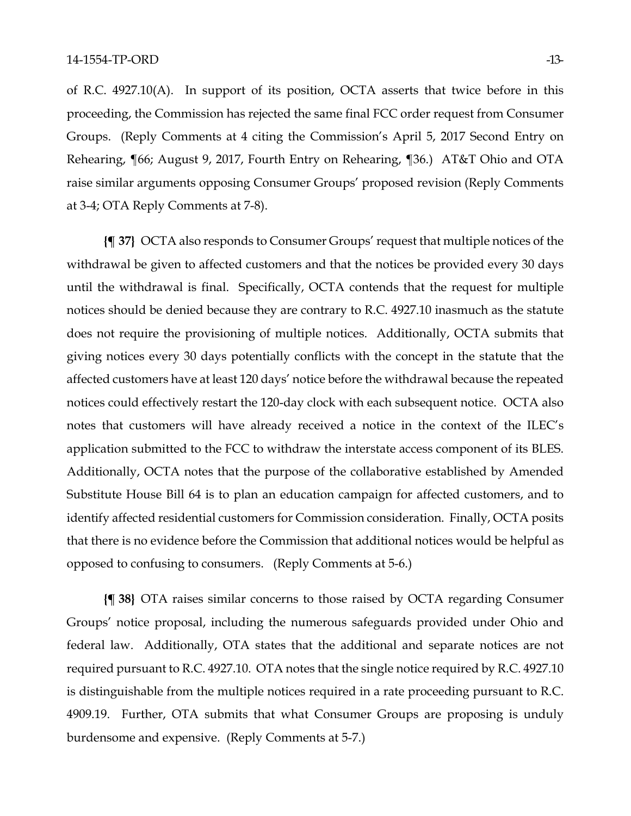of R.C. 4927.10(A). In support of its position, OCTA asserts that twice before in this proceeding, the Commission has rejected the same final FCC order request from Consumer Groups. (Reply Comments at 4 citing the Commission's April 5, 2017 Second Entry on Rehearing, ¶66; August 9, 2017, Fourth Entry on Rehearing, ¶36.) AT&T Ohio and OTA raise similar arguments opposing Consumer Groups' proposed revision (Reply Comments at 3-4; OTA Reply Comments at 7-8).

**{¶ 37}** OCTA also responds to Consumer Groups' request that multiple notices of the withdrawal be given to affected customers and that the notices be provided every 30 days until the withdrawal is final. Specifically, OCTA contends that the request for multiple notices should be denied because they are contrary to R.C. 4927.10 inasmuch as the statute does not require the provisioning of multiple notices. Additionally, OCTA submits that giving notices every 30 days potentially conflicts with the concept in the statute that the affected customers have at least 120 days' notice before the withdrawal because the repeated notices could effectively restart the 120-day clock with each subsequent notice. OCTA also notes that customers will have already received a notice in the context of the ILEC's application submitted to the FCC to withdraw the interstate access component of its BLES. Additionally, OCTA notes that the purpose of the collaborative established by Amended Substitute House Bill 64 is to plan an education campaign for affected customers, and to identify affected residential customers for Commission consideration. Finally, OCTA posits that there is no evidence before the Commission that additional notices would be helpful as opposed to confusing to consumers. (Reply Comments at 5-6.)

**{¶ 38}** OTA raises similar concerns to those raised by OCTA regarding Consumer Groups' notice proposal, including the numerous safeguards provided under Ohio and federal law. Additionally, OTA states that the additional and separate notices are not required pursuant to R.C. 4927.10. OTA notes that the single notice required by R.C. 4927.10 is distinguishable from the multiple notices required in a rate proceeding pursuant to R.C. 4909.19. Further, OTA submits that what Consumer Groups are proposing is unduly burdensome and expensive. (Reply Comments at 5-7.)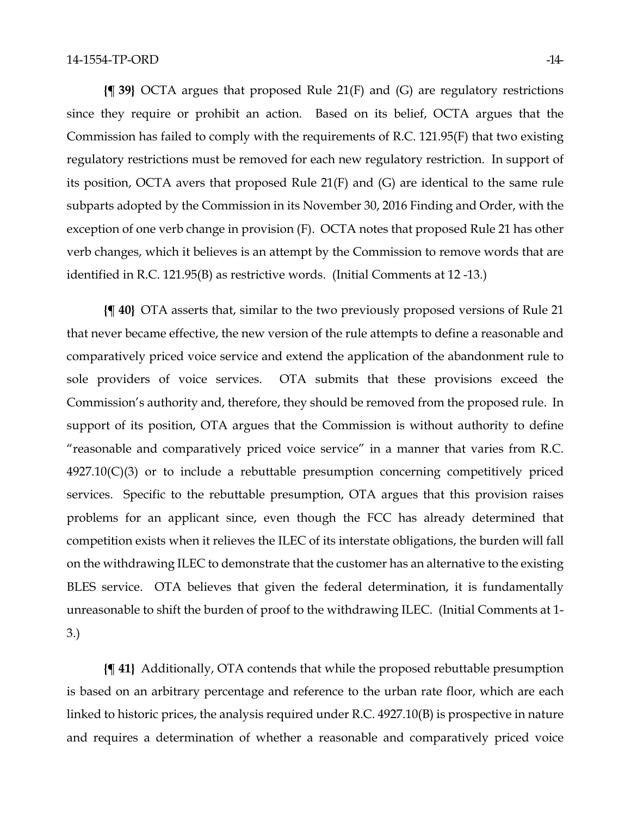**{¶ 39}** OCTA argues that proposed Rule 21(F) and (G) are regulatory restrictions since they require or prohibit an action. Based on its belief, OCTA argues that the Commission has failed to comply with the requirements of R.C. 121.95(F) that two existing regulatory restrictions must be removed for each new regulatory restriction. In support of its position, OCTA avers that proposed Rule 21(F) and (G) are identical to the same rule subparts adopted by the Commission in its November 30, 2016 Finding and Order, with the exception of one verb change in provision (F). OCTA notes that proposed Rule 21 has other verb changes, which it believes is an attempt by the Commission to remove words that are identified in R.C. 121.95(B) as restrictive words. (Initial Comments at 12 -13.)

**{¶ 40}** OTA asserts that, similar to the two previously proposed versions of Rule 21 that never became effective, the new version of the rule attempts to define a reasonable and comparatively priced voice service and extend the application of the abandonment rule to sole providers of voice services. OTA submits that these provisions exceed the Commission's authority and, therefore, they should be removed from the proposed rule. In support of its position, OTA argues that the Commission is without authority to define "reasonable and comparatively priced voice service" in a manner that varies from R.C. 4927.10(C)(3) or to include a rebuttable presumption concerning competitively priced services. Specific to the rebuttable presumption, OTA argues that this provision raises problems for an applicant since, even though the FCC has already determined that competition exists when it relieves the ILEC of its interstate obligations, the burden will fall on the withdrawing ILEC to demonstrate that the customer has an alternative to the existing BLES service. OTA believes that given the federal determination, it is fundamentally unreasonable to shift the burden of proof to the withdrawing ILEC. (Initial Comments at 1- 3.)

**{¶ 41}** Additionally, OTA contends that while the proposed rebuttable presumption is based on an arbitrary percentage and reference to the urban rate floor, which are each linked to historic prices, the analysis required under R.C. 4927.10(B) is prospective in nature and requires a determination of whether a reasonable and comparatively priced voice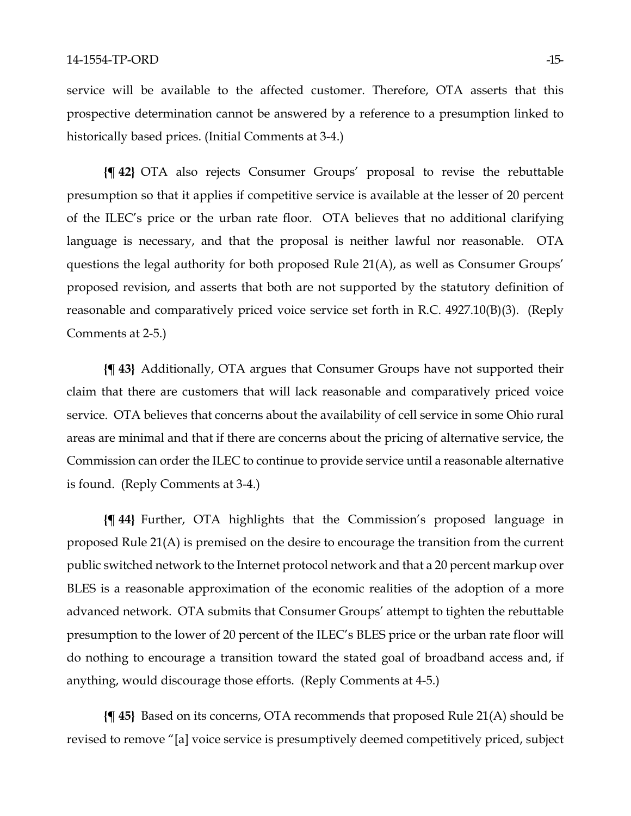service will be available to the affected customer. Therefore, OTA asserts that this prospective determination cannot be answered by a reference to a presumption linked to historically based prices. (Initial Comments at 3-4.)

**{¶ 42}** OTA also rejects Consumer Groups' proposal to revise the rebuttable presumption so that it applies if competitive service is available at the lesser of 20 percent of the ILEC's price or the urban rate floor. OTA believes that no additional clarifying language is necessary, and that the proposal is neither lawful nor reasonable. OTA questions the legal authority for both proposed Rule 21(A), as well as Consumer Groups' proposed revision, and asserts that both are not supported by the statutory definition of reasonable and comparatively priced voice service set forth in R.C. 4927.10(B)(3). (Reply Comments at 2-5.)

**{¶ 43}** Additionally, OTA argues that Consumer Groups have not supported their claim that there are customers that will lack reasonable and comparatively priced voice service. OTA believes that concerns about the availability of cell service in some Ohio rural areas are minimal and that if there are concerns about the pricing of alternative service, the Commission can order the ILEC to continue to provide service until a reasonable alternative is found. (Reply Comments at 3-4.)

**{¶ 44}** Further, OTA highlights that the Commission's proposed language in proposed Rule 21(A) is premised on the desire to encourage the transition from the current public switched network to the Internet protocol network and that a 20 percent markup over BLES is a reasonable approximation of the economic realities of the adoption of a more advanced network. OTA submits that Consumer Groups' attempt to tighten the rebuttable presumption to the lower of 20 percent of the ILEC's BLES price or the urban rate floor will do nothing to encourage a transition toward the stated goal of broadband access and, if anything, would discourage those efforts. (Reply Comments at 4-5.)

**{¶ 45}** Based on its concerns, OTA recommends that proposed Rule 21(A) should be revised to remove "[a] voice service is presumptively deemed competitively priced, subject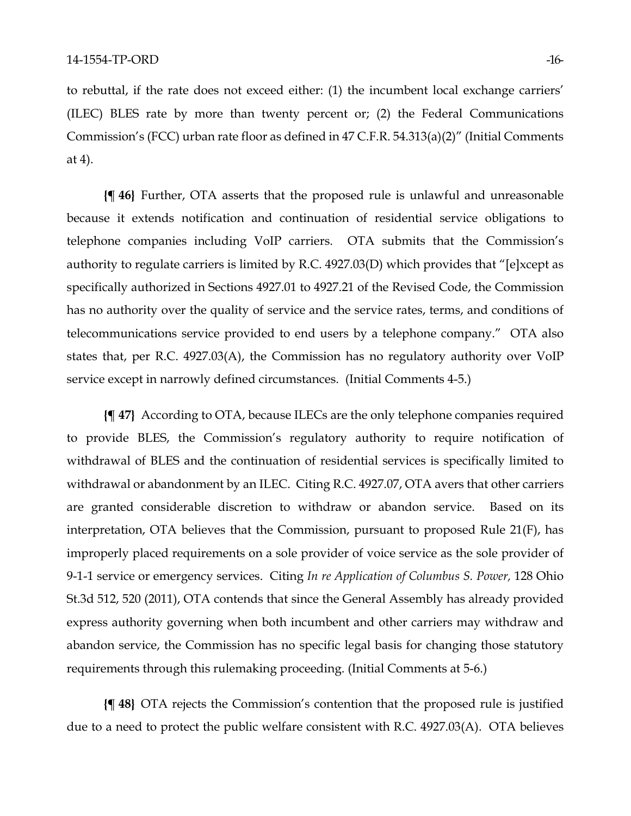to rebuttal, if the rate does not exceed either: (1) the incumbent local exchange carriers' (ILEC) BLES rate by more than twenty percent or; (2) the Federal Communications Commission's (FCC) urban rate floor as defined in 47 C.F.R. 54.313(a)(2)" (Initial Comments at 4).

**{¶ 46}** Further, OTA asserts that the proposed rule is unlawful and unreasonable because it extends notification and continuation of residential service obligations to telephone companies including VoIP carriers. OTA submits that the Commission's authority to regulate carriers is limited by R.C. 4927.03(D) which provides that "[e]xcept as specifically authorized in Sections 4927.01 to 4927.21 of the Revised Code, the Commission has no authority over the quality of service and the service rates, terms, and conditions of telecommunications service provided to end users by a telephone company." OTA also states that, per R.C. 4927.03(A), the Commission has no regulatory authority over VoIP service except in narrowly defined circumstances. (Initial Comments 4-5.)

**{¶ 47}** According to OTA, because ILECs are the only telephone companies required to provide BLES, the Commission's regulatory authority to require notification of withdrawal of BLES and the continuation of residential services is specifically limited to withdrawal or abandonment by an ILEC. Citing R.C. 4927.07, OTA avers that other carriers are granted considerable discretion to withdraw or abandon service. Based on its interpretation, OTA believes that the Commission, pursuant to proposed Rule 21(F), has improperly placed requirements on a sole provider of voice service as the sole provider of 9-1-1 service or emergency services. Citing *In re Application of Columbus S. Power,* 128 Ohio St.3d 512, 520 (2011), OTA contends that since the General Assembly has already provided express authority governing when both incumbent and other carriers may withdraw and abandon service, the Commission has no specific legal basis for changing those statutory requirements through this rulemaking proceeding. (Initial Comments at 5-6.)

**{¶ 48}** OTA rejects the Commission's contention that the proposed rule is justified due to a need to protect the public welfare consistent with R.C. 4927.03(A). OTA believes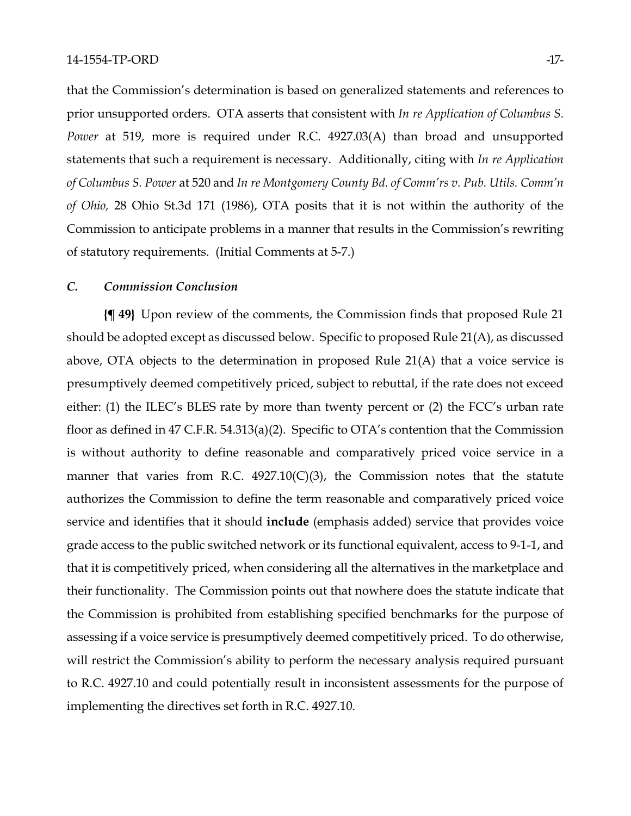that the Commission's determination is based on generalized statements and references to prior unsupported orders. OTA asserts that consistent with *In re Application of Columbus S. Power* at 519, more is required under R.C. 4927.03(A) than broad and unsupported statements that such a requirement is necessary. Additionally, citing with *In re Application of Columbus S. Power* at 520 and *In re Montgomery County Bd. of Comm'rs v. Pub. Utils. Comm'n of Ohio,* 28 Ohio St.3d 171 (1986), OTA posits that it is not within the authority of the Commission to anticipate problems in a manner that results in the Commission's rewriting of statutory requirements. (Initial Comments at 5-7.)

### *C. Commission Conclusion*

**{¶ 49}** Upon review of the comments, the Commission finds that proposed Rule 21 should be adopted except as discussed below. Specific to proposed Rule 21(A), as discussed above, OTA objects to the determination in proposed Rule 21(A) that a voice service is presumptively deemed competitively priced, subject to rebuttal, if the rate does not exceed either: (1) the ILEC's BLES rate by more than twenty percent or (2) the FCC's urban rate floor as defined in 47 C.F.R. 54.313(a)(2). Specific to OTA's contention that the Commission is without authority to define reasonable and comparatively priced voice service in a manner that varies from R.C.  $4927.10(C)(3)$ , the Commission notes that the statute authorizes the Commission to define the term reasonable and comparatively priced voice service and identifies that it should **include** (emphasis added) service that provides voice grade access to the public switched network or its functional equivalent, access to 9-1-1, and that it is competitively priced, when considering all the alternatives in the marketplace and their functionality. The Commission points out that nowhere does the statute indicate that the Commission is prohibited from establishing specified benchmarks for the purpose of assessing if a voice service is presumptively deemed competitively priced. To do otherwise, will restrict the Commission's ability to perform the necessary analysis required pursuant to R.C. 4927.10 and could potentially result in inconsistent assessments for the purpose of implementing the directives set forth in R.C. 4927.10.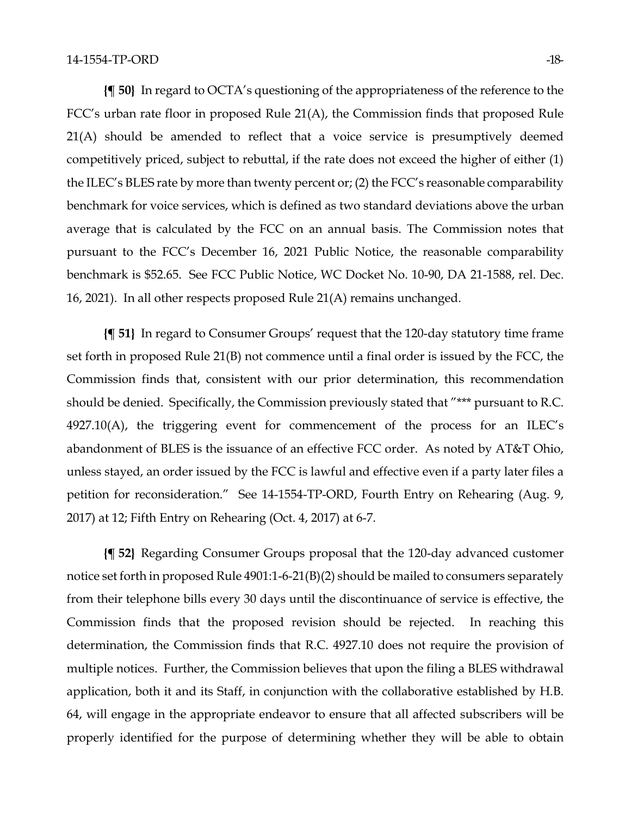**{¶ 50}** In regard to OCTA's questioning of the appropriateness of the reference to the FCC's urban rate floor in proposed Rule 21(A), the Commission finds that proposed Rule 21(A) should be amended to reflect that a voice service is presumptively deemed competitively priced, subject to rebuttal, if the rate does not exceed the higher of either (1) the ILEC's BLES rate by more than twenty percent or; (2) the FCC's reasonable comparability benchmark for voice services, which is defined as two standard deviations above the urban average that is calculated by the FCC on an annual basis. The Commission notes that pursuant to the FCC's December 16, 2021 Public Notice, the reasonable comparability benchmark is \$52.65. See FCC Public Notice, WC Docket No. 10-90, DA 21-1588, rel. Dec. 16, 2021). In all other respects proposed Rule 21(A) remains unchanged.

**{¶ 51}** In regard to Consumer Groups' request that the 120-day statutory time frame set forth in proposed Rule 21(B) not commence until a final order is issued by the FCC, the Commission finds that, consistent with our prior determination, this recommendation should be denied. Specifically, the Commission previously stated that "\*\*\* pursuant to R.C. 4927.10(A), the triggering event for commencement of the process for an ILEC's abandonment of BLES is the issuance of an effective FCC order. As noted by AT&T Ohio, unless stayed, an order issued by the FCC is lawful and effective even if a party later files a petition for reconsideration." See 14-1554-TP-ORD, Fourth Entry on Rehearing (Aug. 9, 2017) at 12; Fifth Entry on Rehearing (Oct. 4, 2017) at 6-7.

**{¶ 52}** Regarding Consumer Groups proposal that the 120-day advanced customer notice set forth in proposed Rule 4901:1-6-21(B)(2) should be mailed to consumers separately from their telephone bills every 30 days until the discontinuance of service is effective, the Commission finds that the proposed revision should be rejected. In reaching this determination, the Commission finds that R.C. 4927.10 does not require the provision of multiple notices. Further, the Commission believes that upon the filing a BLES withdrawal application, both it and its Staff, in conjunction with the collaborative established by H.B. 64, will engage in the appropriate endeavor to ensure that all affected subscribers will be properly identified for the purpose of determining whether they will be able to obtain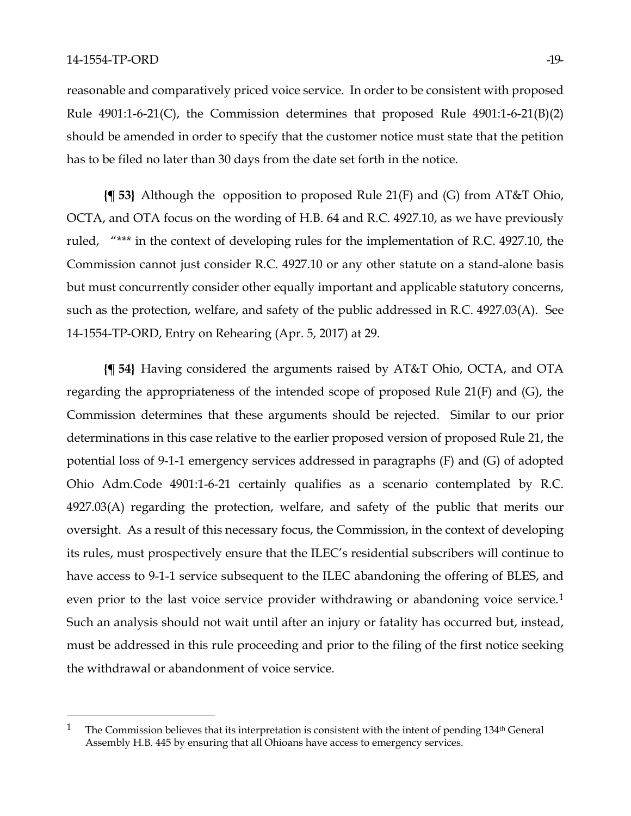reasonable and comparatively priced voice service. In order to be consistent with proposed Rule  $4901:1-6-21(C)$ , the Commission determines that proposed Rule  $4901:1-6-21(B)(2)$ should be amended in order to specify that the customer notice must state that the petition has to be filed no later than 30 days from the date set forth in the notice.

**{¶ 53}** Although the opposition to proposed Rule 21(F) and (G) from AT&T Ohio, OCTA, and OTA focus on the wording of H.B. 64 and R.C. 4927.10, as we have previously ruled, "\*\*\* in the context of developing rules for the implementation of R.C. 4927.10, the Commission cannot just consider R.C. 4927.10 or any other statute on a stand-alone basis but must concurrently consider other equally important and applicable statutory concerns, such as the protection, welfare, and safety of the public addressed in R.C. 4927.03(A). See 14-1554-TP-ORD, Entry on Rehearing (Apr. 5, 2017) at 29.

**{¶ 54}** Having considered the arguments raised by AT&T Ohio, OCTA, and OTA regarding the appropriateness of the intended scope of proposed Rule 21(F) and (G), the Commission determines that these arguments should be rejected. Similar to our prior determinations in this case relative to the earlier proposed version of proposed Rule 21, the potential loss of 9-1-1 emergency services addressed in paragraphs (F) and (G) of adopted Ohio Adm.Code 4901:1-6-21 certainly qualifies as a scenario contemplated by R.C. 4927.03(A) regarding the protection, welfare, and safety of the public that merits our oversight. As a result of this necessary focus, the Commission, in the context of developing its rules, must prospectively ensure that the ILEC's residential subscribers will continue to have access to 9-1-1 service subsequent to the ILEC abandoning the offering of BLES, and even prior to the last voice service provider withdrawing or abandoning voice service.<sup>[1](#page-18-0)</sup> Such an analysis should not wait until after an injury or fatality has occurred but, instead, must be addressed in this rule proceeding and prior to the filing of the first notice seeking the withdrawal or abandonment of voice service.

<span id="page-18-0"></span><sup>&</sup>lt;sup>1</sup> The Commission believes that its interpretation is consistent with the intent of pending  $134<sup>th</sup>$  General Assembly H.B. 445 by ensuring that all Ohioans have access to emergency services.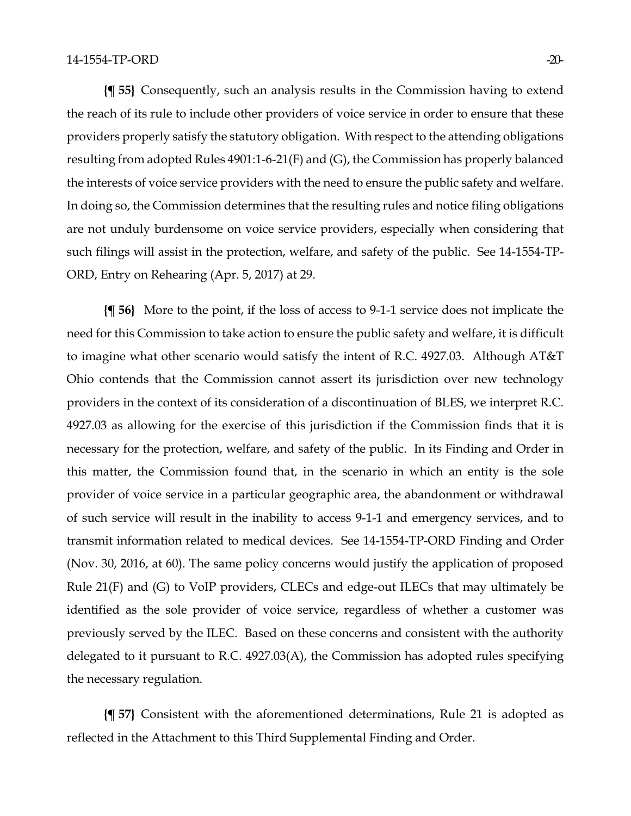**{¶ 55}** Consequently, such an analysis results in the Commission having to extend the reach of its rule to include other providers of voice service in order to ensure that these providers properly satisfy the statutory obligation. With respect to the attending obligations resulting from adopted Rules 4901:1-6-21(F) and (G), the Commission has properly balanced the interests of voice service providers with the need to ensure the public safety and welfare. In doing so, the Commission determines that the resulting rules and notice filing obligations are not unduly burdensome on voice service providers, especially when considering that such filings will assist in the protection, welfare, and safety of the public. See 14-1554-TP-ORD, Entry on Rehearing (Apr. 5, 2017) at 29.

**{¶ 56}** More to the point, if the loss of access to 9-1-1 service does not implicate the need for this Commission to take action to ensure the public safety and welfare, it is difficult to imagine what other scenario would satisfy the intent of R.C. 4927.03. Although AT&T Ohio contends that the Commission cannot assert its jurisdiction over new technology providers in the context of its consideration of a discontinuation of BLES, we interpret R.C. 4927.03 as allowing for the exercise of this jurisdiction if the Commission finds that it is necessary for the protection, welfare, and safety of the public. In its Finding and Order in this matter, the Commission found that, in the scenario in which an entity is the sole provider of voice service in a particular geographic area, the abandonment or withdrawal of such service will result in the inability to access 9-1-1 and emergency services, and to transmit information related to medical devices. See 14-1554-TP-ORD Finding and Order (Nov. 30, 2016, at 60). The same policy concerns would justify the application of proposed Rule 21(F) and (G) to VoIP providers, CLECs and edge-out ILECs that may ultimately be identified as the sole provider of voice service, regardless of whether a customer was previously served by the ILEC. Based on these concerns and consistent with the authority delegated to it pursuant to R.C. 4927.03(A), the Commission has adopted rules specifying the necessary regulation.

**{¶ 57}** Consistent with the aforementioned determinations, Rule 21 is adopted as reflected in the Attachment to this Third Supplemental Finding and Order.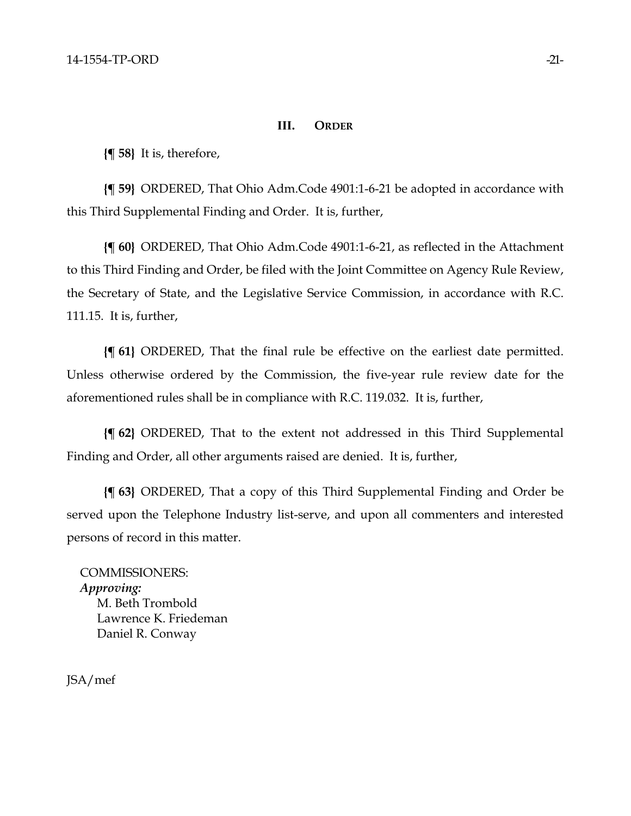### **III. ORDER**

**{¶ 58}** It is, therefore,

**{¶ 59}** ORDERED, That Ohio Adm.Code 4901:1-6-21 be adopted in accordance with this Third Supplemental Finding and Order. It is, further,

**{¶ 60}** ORDERED, That Ohio Adm.Code 4901:1-6-21, as reflected in the Attachment to this Third Finding and Order, be filed with the Joint Committee on Agency Rule Review, the Secretary of State, and the Legislative Service Commission, in accordance with R.C. 111.15. It is, further,

**{¶ 61}** ORDERED, That the final rule be effective on the earliest date permitted. Unless otherwise ordered by the Commission, the five-year rule review date for the aforementioned rules shall be in compliance with R.C. 119.032. It is, further,

**{¶ 62}** ORDERED, That to the extent not addressed in this Third Supplemental Finding and Order, all other arguments raised are denied. It is, further,

**{¶ 63}** ORDERED, That a copy of this Third Supplemental Finding and Order be served upon the Telephone Industry list-serve, and upon all commenters and interested persons of record in this matter.

COMMISSIONERS: *Approving:*  M. Beth Trombold Lawrence K. Friedeman Daniel R. Conway

JSA/mef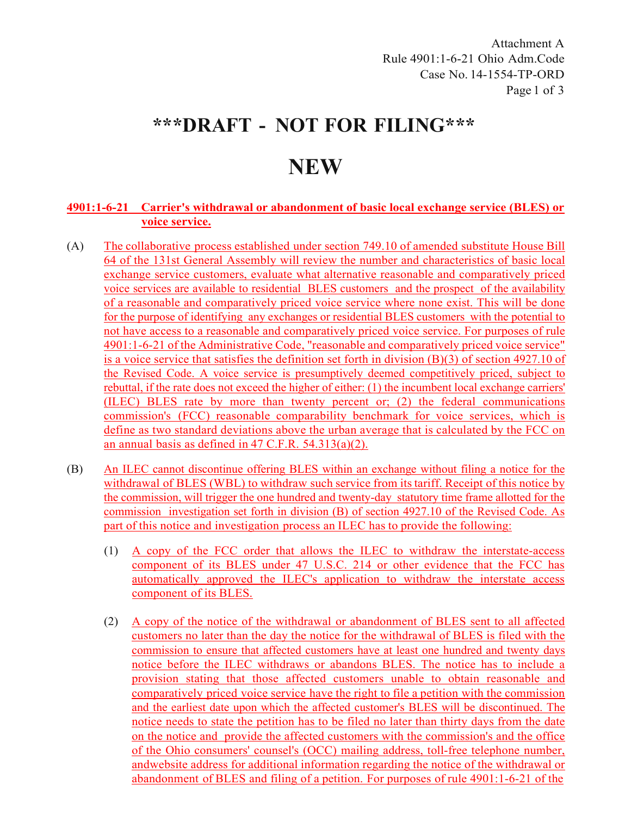Attachment A Rule 4901:1-6-21 Ohio Adm.Code Case No. 14-1554-TP-ORD Page 1 of 3

## **\*\*\*DRAFT - NOT FOR FILING\*\*\***

# **NEW**

### **4901:1-6-21 Carrier's withdrawal or abandonment of basic local exchange service (BLES) or voice service.**

- (A) The collaborative process established under section 749.10 of amended substitute House Bill 64 of the 131st General Assembly will review the number and characteristics of basic local exchange service customers, evaluate what alternative reasonable and comparatively priced voice services are available to residential BLES customers and the prospect of the availability of a reasonable and comparatively priced voice service where none exist. This will be done for the purpose of identifying any exchanges or residential BLES customers with the potential to not have access to a reasonable and comparatively priced voice service. For purposes of rule 4901:1-6-21 of the Administrative Code, "reasonable and comparatively priced voice service" is a voice service that satisfies the definition set forth in division (B)(3) of section 4927.10 of the Revised Code. A voice service is presumptively deemed competitively priced, subject to rebuttal, if the rate does not exceed the higher of either: (1) the incumbent local exchange carriers' (ILEC) BLES rate by more than twenty percent or; (2) the federal communications commission's (FCC) reasonable comparability benchmark for voice services, which is define as two standard deviations above the urban average that is calculated by the FCC on an annual basis as defined in 47 C.F.R. 54.313(a)(2).
- (B) An ILEC cannot discontinue offering BLES within an exchange without filing a notice for the withdrawal of BLES (WBL) to withdraw such service from itstariff. Receipt of this notice by the commission, will trigger the one hundred and twenty-day statutory time frame allotted for the commission investigation set forth in division (B) of section 4927.10 of the Revised Code. As part of this notice and investigation process an ILEC has to provide the following:
	- (1) A copy of the FCC order that allows the ILEC to withdraw the interstate-access component of its BLES under 47 U.S.C. 214 or other evidence that the FCC has automatically approved the ILEC's application to withdraw the interstate access component of its BLES.
	- (2) A copy of the notice of the withdrawal or abandonment of BLES sent to all affected customers no later than the day the notice for the withdrawal of BLES is filed with the commission to ensure that affected customers have at least one hundred and twenty days notice before the ILEC withdraws or abandons BLES. The notice has to include a provision stating that those affected customers unable to obtain reasonable and comparatively priced voice service have the right to file a petition with the commission and the earliest date upon which the affected customer's BLES will be discontinued. The notice needs to state the petition has to be filed no later than thirty days from the date on the notice and provide the affected customers with the commission's and the office of the Ohio consumers' counsel's (OCC) mailing address, toll-free telephone number, andwebsite address for additional information regarding the notice of the withdrawal or abandonment of BLES and filing of a petition. For purposes of rule 4901:1-6-21 of the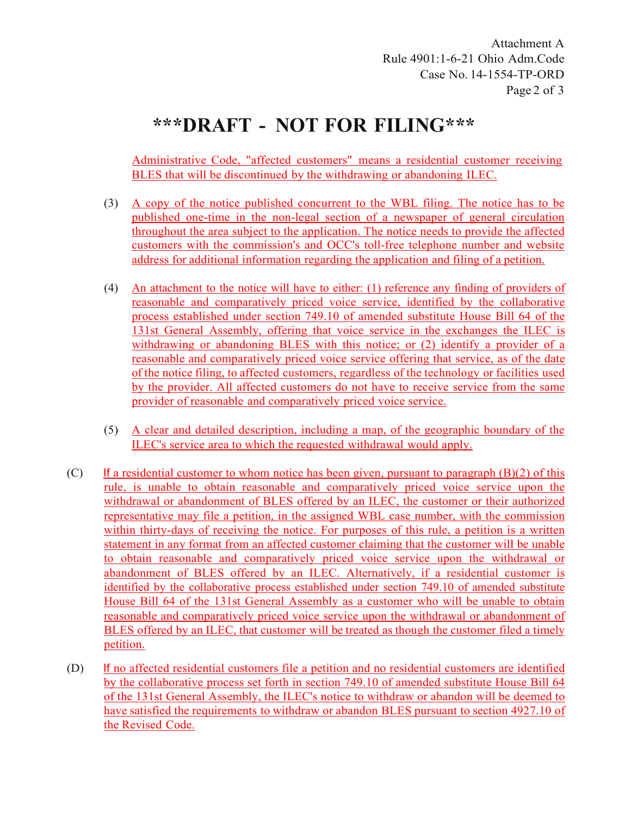Attachment A Rule 4901:1-6-21 Ohio Adm.Code Case No. 14-1554-TP-ORD Page 2 of 3

# **\*\*\*DRAFT - NOT FOR FILING\*\*\***

Administrative Code, "affected customers" means a residential customer receiving BLES that will be discontinued by the withdrawing or abandoning ILEC.

- (3) A copy of the notice published concurrent to the WBL filing. The notice has to be published one-time in the non-legal section of a newspaper of general circulation throughout the area subject to the application. The notice needs to provide the affected customers with the commission's and OCC's toll-free telephone number and website address for additional information regarding the application and filing of a petition.
- (4) An attachment to the notice will have to either: (1) reference any finding of providers of reasonable and comparatively priced voice service, identified by the collaborative process established under section 749.10 of amended substitute House Bill 64 of the 131st General Assembly, offering that voice service in the exchanges the ILEC is withdrawing or abandoning BLES with this notice; or (2) identify a provider of a reasonable and comparatively priced voice service offering that service, as of the date of the notice filing, to affected customers, regardless of the technology or facilities used by the provider. All affected customers do not have to receive service from the same provider of reasonable and comparatively priced voice service.
- (5) A clear and detailed description, including a map, of the geographic boundary of the ILEC's service area to which the requested withdrawal would apply.
- (C) If a residential customer to whom notice has been given, pursuant to paragraph  $(B)(2)$  of this rule, is unable to obtain reasonable and comparatively priced voice service upon the withdrawal or abandonment of BLES offered by an ILEC, the customer or their authorized representative may file a petition, in the assigned WBL case number, with the commission within thirty-days of receiving the notice. For purposes of this rule, a petition is a written statement in any format from an affected customer claiming that the customer will be unable to obtain reasonable and comparatively priced voice service upon the withdrawal or abandonment of BLES offered by an ILEC. Alternatively, if a residential customer is identified by the collaborative process established under section 749.10 of amended substitute House Bill 64 of the 131st General Assembly as a customer who will be unable to obtain reasonable and comparatively priced voice service upon the withdrawal or abandonment of BLES offered by an ILEC, that customer will be treated as though the customer filed a timely petition.
- (D) If no affected residential customers file a petition and no residential customers are identified by the collaborative process set forth in section 749.10 of amended substitute House Bill 64 of the 131st General Assembly, the ILEC's notice to withdraw or abandon will be deemed to have satisfied the requirements to withdraw or abandon BLES pursuant to section 4927.10 of the Revised Code.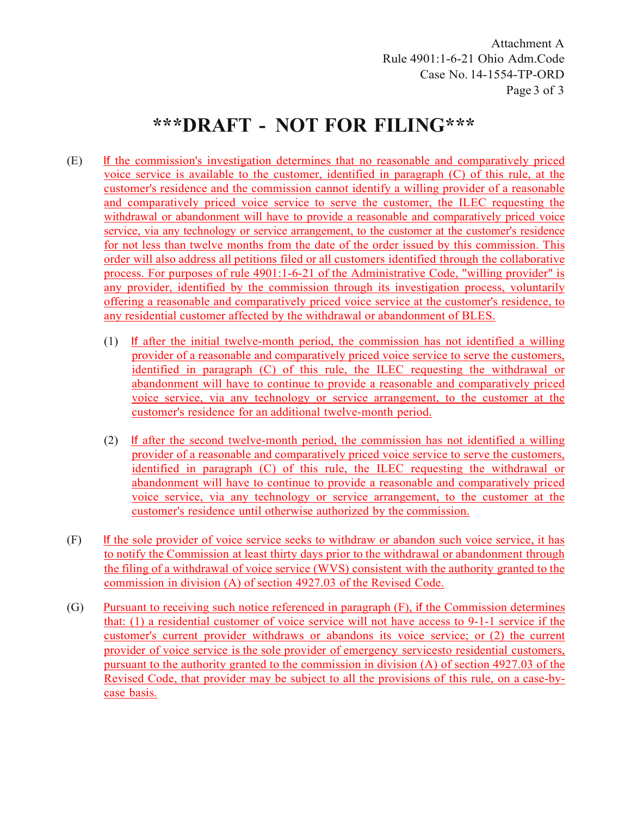Attachment A Rule 4901:1-6-21 Ohio Adm.Code Case No. 14-1554-TP-ORD Page 3 of 3

# **\*\*\*DRAFT - NOT FOR FILING\*\*\***

- (E) If the commission's investigation determines that no reasonable and comparatively priced voice service is available to the customer, identified in paragraph (C) of this rule, at the customer's residence and the commission cannot identify a willing provider of a reasonable and comparatively priced voice service to serve the customer, the ILEC requesting the withdrawal or abandonment will have to provide a reasonable and comparatively priced voice service, via any technology or service arrangement, to the customer at the customer's residence for not less than twelve months from the date of the order issued by this commission. This order will also address all petitions filed or all customers identified through the collaborative process. For purposes of rule 4901:1-6-21 of the Administrative Code, "willing provider" is any provider, identified by the commission through its investigation process, voluntarily offering a reasonable and comparatively priced voice service at the customer's residence, to any residential customer affected by the withdrawal or abandonment of BLES.
	- (1) If after the initial twelve-month period, the commission has not identified a willing provider of a reasonable and comparatively priced voice service to serve the customers, identified in paragraph (C) of this rule, the ILEC requesting the withdrawal or abandonment will have to continue to provide a reasonable and comparatively priced voice service, via any technology or service arrangement, to the customer at the customer's residence for an additional twelve-month period.
	- (2) If after the second twelve-month period, the commission has not identified a willing provider of a reasonable and comparatively priced voice service to serve the customers, identified in paragraph (C) of this rule, the ILEC requesting the withdrawal or abandonment will have to continue to provide a reasonable and comparatively priced voice service, via any technology or service arrangement, to the customer at the customer's residence until otherwise authorized by the commission.
- (F) If the sole provider of voice service seeks to withdraw or abandon such voice service, it has to notify the Commission at least thirty days prior to the withdrawal or abandonment through the filing of a withdrawal of voice service (WVS) consistent with the authority granted to the commission in division (A) of section 4927.03 of the Revised Code.
- (G) Pursuant to receiving such notice referenced in paragraph (F), if the Commission determines that: (1) a residential customer of voice service will not have access to 9-1-1 service if the customer's current provider withdraws or abandons its voice service; or (2) the current provider of voice service is the sole provider of emergency servicesto residential customers, pursuant to the authority granted to the commission in division (A) of section 4927.03 of the Revised Code, that provider may be subject to all the provisions of this rule, on a case-bycase basis.